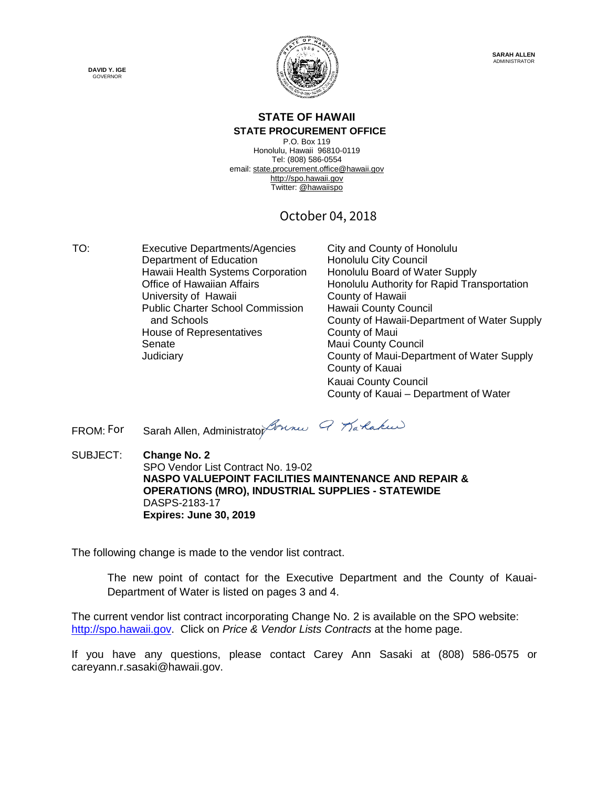



## **STATE OF HAWAII**

**STATE PROCUREMENT OFFICE** P.O. Box 119 Honolulu, Hawaii 96810-0119

Tel: (808) 586-0554 email[: state.procurement.office@hawaii.gov](mailto:state.procurement.office@hawaii.gov) [http://spo.hawaii.gov](http://spo.hawaii.gov/) [Twitter:](http://spo.hawaii.gov/) [@hawaiispo](https://twitter.com/hawaiispo)

#### October 04, 2018

TO: Executive Departments/Agencies City and County of Honolulu Department of Education Honolulu City Council Hawaii Health Systems Corporation Honolulu Board of Water Supply<br>Office of Hawaiian Affairs Honolulu Authority for Rapid Tran University of Hawaii **County of Hawaii** Public Charter School Commission and Schools House of Representatives **County of Maui** Senate Maui County Council

Honolulu Authority for Rapid Transportation Hawaii County Council County of Hawaii-Department of Water Supply Judiciary County of Maui-Department of Water Supply County of Kauai Kauai County Council County of Kauai – Department of Water

Sarah Allen, Administrat[or](https://stateofhawaii.na1.echosign.com/verifier?tx=CBJCHBCAABAAvVCdKM_ymI9AziauEZeASHn_IIcpfWS7) *Bonner 9 Karlaku*  $FROM: For$ 

SUBJECT: **Change No. 2** SPO Vendor List Contract No. 19-02 **NASPO VALUEPOINT FACILITIES MAINTENANCE AND REPAIR & OPERATIONS (MRO), INDUSTRIAL SUPPLIES - STATEWIDE**  DASPS-2183-17 **Expires: June 30, 2019**

The following change is made to the vendor list contract.

The new point of contact for the Executive Department and the County of Kauai-[Departm](http://spo.hawaii.gov/)ent of Water is listed on pages 3 and 4.

The current vendor list contract incorporating Change No. 2 is available on the SPO website: [http://spo.hawaii.gov.](http://spo.hawaii.gov/) Click on *Price & Vendor Lists Contracts* at the home page.

If you have any questions, please contact Carey Ann Sasaki at (808) 586-0575 or careyann.r.sasaki@hawaii.gov.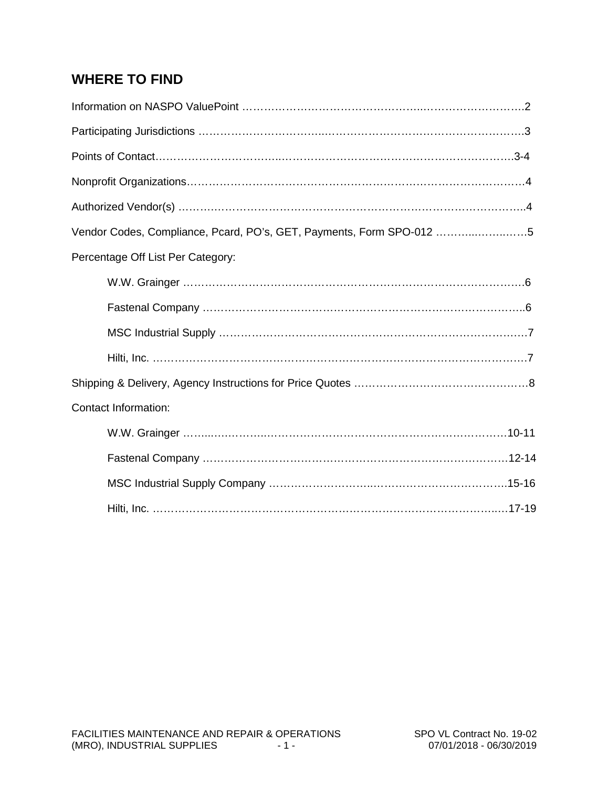## **WHERE TO FIND**

| Vendor Codes, Compliance, Pcard, PO's, GET, Payments, Form SPO-012 5 |
|----------------------------------------------------------------------|
| Percentage Off List Per Category:                                    |
|                                                                      |
|                                                                      |
|                                                                      |
|                                                                      |
|                                                                      |
| <b>Contact Information:</b>                                          |
|                                                                      |
|                                                                      |
|                                                                      |
|                                                                      |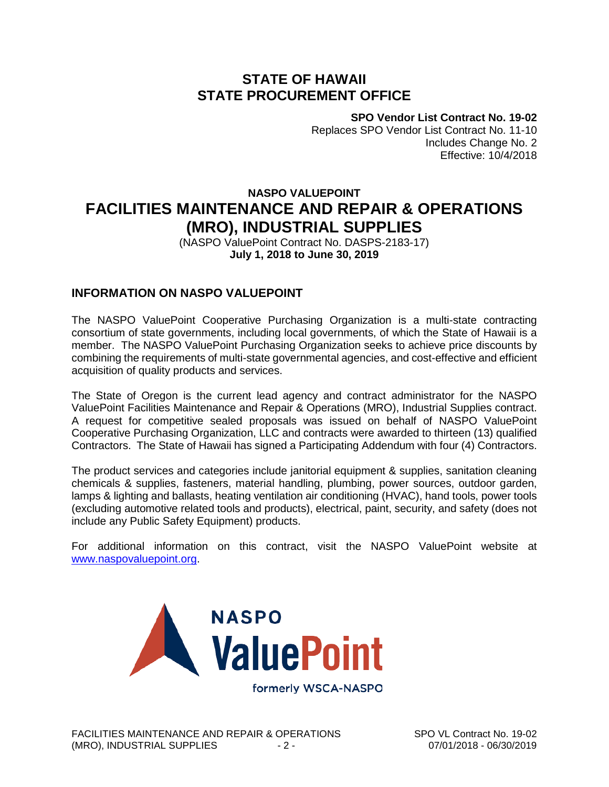#### **STATE OF HAWAII STATE PROCUREMENT OFFICE**

**SPO Vendor List Contract No. 19-02**

Replaces SPO Vendor List Contract No. 11-10 Includes Change No. 2 Effective: 10/4/2018

#### **NASPO VALUEPOINT FACILITIES MAINTENANCE AND REPAIR & OPERATIONS (MRO), INDUSTRIAL SUPPLIES**

(NASPO ValuePoint Contract No. DASPS-2183-17) **July 1, 2018 to June 30, 2019**

#### **INFORMATION ON NASPO VALUEPOINT**

The NASPO ValuePoint Cooperative Purchasing Organization is a multi-state contracting consortium of state governments, including local governments, of which the State of Hawaii is a member. The NASPO ValuePoint Purchasing Organization seeks to achieve price discounts by combining the requirements of multi-state governmental agencies, and cost-effective and efficient acquisition of quality products and services.

The State of Oregon is the current lead agency and contract administrator for the NASPO ValuePoint Facilities Maintenance and Repair & Operations (MRO), Industrial Supplies contract. A request for competitive sealed proposals was issued on behalf of NASPO ValuePoint Cooperative Purchasing Organization, LLC and contracts were awarded to thirteen (13) qualified Contractors. The State of Hawaii has signed a Participating Addendum with four (4) Contractors.

The product services and categories include janitorial equipment & supplies, sanitation cleaning chemicals & supplies, fasteners, material handling, plumbing, power sources, outdoor garden, lamps & lighting and ballasts, heating ventilation air conditioning (HVAC), hand tools, power tools (excluding automotive related tools and products), electrical, paint, security, and safety (does not include any Public Safety Equipment) products.

For additional information on this contract, visit the NASPO ValuePoint website at [www.naspovaluepoint.org.](http://www.naspovaluepoint.org/)

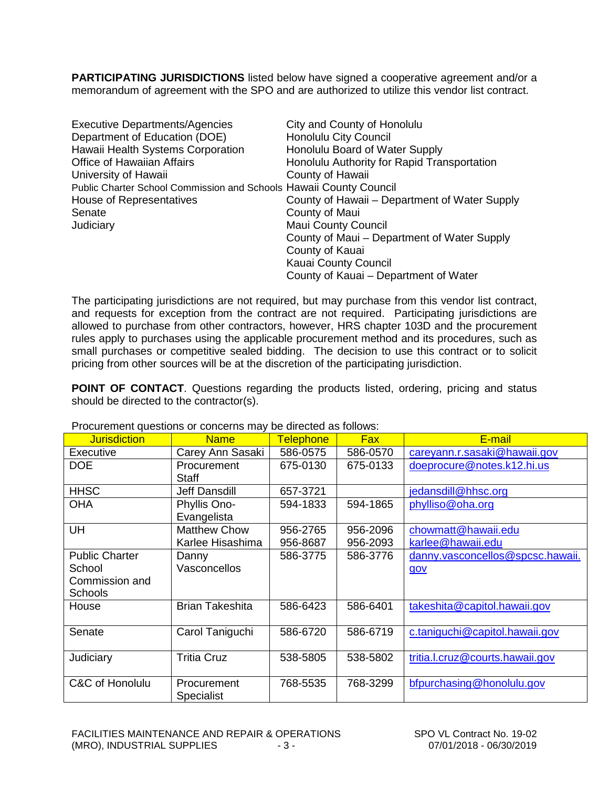**PARTICIPATING JURISDICTIONS** listed below have signed a cooperative agreement and/or a memorandum of agreement with the SPO and are authorized to utilize this vendor list contract.

| <b>Executive Departments/Agencies</b>                              | City and County of Honolulu                   |
|--------------------------------------------------------------------|-----------------------------------------------|
| Department of Education (DOE)                                      | <b>Honolulu City Council</b>                  |
| Hawaii Health Systems Corporation                                  | Honolulu Board of Water Supply                |
| <b>Office of Hawaiian Affairs</b>                                  | Honolulu Authority for Rapid Transportation   |
| University of Hawaii                                               | County of Hawaii                              |
| Public Charter School Commission and Schools Hawaii County Council |                                               |
| House of Representatives                                           | County of Hawaii – Department of Water Supply |
| Senate                                                             | County of Maui                                |
| Judiciary                                                          | <b>Maui County Council</b>                    |
|                                                                    | County of Maui – Department of Water Supply   |
|                                                                    | County of Kauai                               |
|                                                                    | Kauai County Council                          |
|                                                                    | County of Kauai – Department of Water         |

The participating jurisdictions are not required, but may purchase from this vendor list contract, and requests for exception from the contract are not required. Participating jurisdictions are allowed to purchase from other contractors, however, HRS chapter 103D and the procurement rules apply to purchases using the applicable procurement method and its procedures, such as small purchases or competitive sealed bidding. The decision to use this contract or to solicit pricing from other sources will be at the discretion of the participating jurisdiction.

**POINT OF CONTACT**. Questions regarding the products listed, ordering, pricing and status should be directed to the contractor(s).

| <b>Jurisdiction</b>   | <b>Name</b>            | <b>Telephone</b> | <b>Fax</b> | E-mail                           |
|-----------------------|------------------------|------------------|------------|----------------------------------|
| Executive             | Carey Ann Sasaki       | 586-0575         | 586-0570   | careyann.r.sasaki@hawaii.gov     |
| <b>DOE</b>            | Procurement            | 675-0130         | 675-0133   | doeprocure@notes.k12.hi.us       |
|                       | <b>Staff</b>           |                  |            |                                  |
| <b>HHSC</b>           | Jeff Dansdill          | 657-3721         |            | jedansdill@hhsc.org              |
| <b>OHA</b>            | Phyllis Ono-           | 594-1833         | 594-1865   | phylliso@oha.org                 |
|                       | Evangelista            |                  |            |                                  |
| UH                    | <b>Matthew Chow</b>    | 956-2765         | 956-2096   | chowmatt@hawaii.edu              |
|                       | Karlee Hisashima       | 956-8687         | 956-2093   | karlee@hawaii.edu                |
| <b>Public Charter</b> | Danny                  | 586-3775         | 586-3776   | danny.vasconcellos@spcsc.hawaii. |
| School                | Vasconcellos           |                  |            | gov                              |
| Commission and        |                        |                  |            |                                  |
| Schools               |                        |                  |            |                                  |
| House                 | <b>Brian Takeshita</b> | 586-6423         | 586-6401   | takeshita@capitol.hawaii.gov     |
|                       |                        |                  |            |                                  |
| Senate                | Carol Taniguchi        | 586-6720         | 586-6719   | c.taniguchi@capitol.hawaii.gov   |
|                       |                        |                  |            |                                  |
| Judiciary             | <b>Tritia Cruz</b>     | 538-5805         | 538-5802   | tritia.l.cruz@courts.hawaii.gov  |
|                       |                        |                  |            |                                  |
| C&C of Honolulu       | Procurement            | 768-5535         | 768-3299   | bfpurchasing@honolulu.gov        |
|                       | <b>Specialist</b>      |                  |            |                                  |

Procurement questions or concerns may be directed as follows: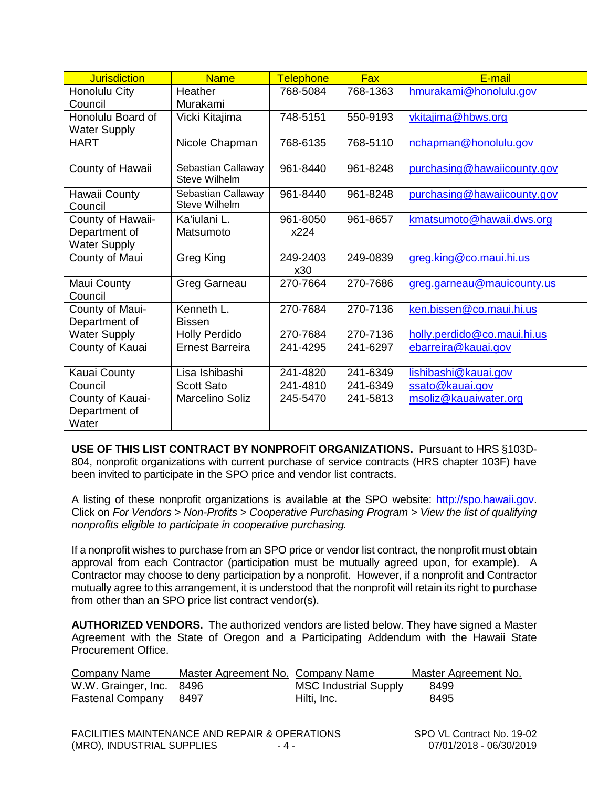| <b>Jurisdiction</b>                                       | <b>Name</b>                                | <b>Telephone</b> | <b>Fax</b> | E-mail                      |
|-----------------------------------------------------------|--------------------------------------------|------------------|------------|-----------------------------|
| Honolulu City<br>Council                                  | <b>Heather</b><br>Murakami                 | 768-5084         | 768-1363   | hmurakami@honolulu.gov      |
| Honolulu Board of<br><b>Water Supply</b>                  | Vicki Kitajima                             | 748-5151         | 550-9193   | vkitajima@hbws.org          |
| <b>HART</b>                                               | Nicole Chapman                             | 768-6135         | 768-5110   | nchapman@honolulu.gov       |
| County of Hawaii                                          | Sebastian Callaway<br><b>Steve Wilhelm</b> | 961-8440         | 961-8248   | purchasing@hawaiicounty.gov |
| Hawaii County<br>Council                                  | Sebastian Callaway<br>Steve Wilhelm        | 961-8440         | 961-8248   | purchasing@hawaiicounty.gov |
| County of Hawaii-<br>Department of<br><b>Water Supply</b> | Ka'iulani L.<br>Matsumoto                  | 961-8050<br>x224 | 961-8657   | kmatsumoto@hawaii.dws.org   |
| County of Maui                                            | Greg King                                  | 249-2403<br>x30  | 249-0839   | greg.king@co.maui.hi.us     |
| Maui County<br>Council                                    | Greg Garneau                               | 270-7664         | 270-7686   | greg.garneau@mauicounty.us  |
| County of Maui-<br>Department of                          | Kenneth L.<br><b>Bissen</b>                | 270-7684         | 270-7136   | ken.bissen@co.maui.hi.us    |
| <b>Water Supply</b>                                       | <b>Holly Perdido</b>                       | 270-7684         | 270-7136   | holly.perdido@co.maui.hi.us |
| County of Kauai                                           | <b>Ernest Barreira</b>                     | 241-4295         | 241-6297   | ebarreira@kauai.gov         |
| Kauai County                                              | Lisa Ishibashi                             | 241-4820         | 241-6349   | lishibashi@kauai.gov        |
| Council                                                   | <b>Scott Sato</b>                          | 241-4810         | 241-6349   | ssato@kauai.gov             |
| County of Kauai-<br>Department of<br>Water                | <b>Marcelino Soliz</b>                     | 245-5470         | 241-5813   | msoliz@kauaiwater.org       |

**USE OF THIS LIST CONTRACT BY NONPROFIT ORGANIZATIONS.** Pursuant to HRS §103D-804, nonprofit organizations with current purchase of service contracts (HRS chapter 103F) have been invited to participate in the SPO price and vendor list contracts.

A listing of these nonprofit organizations is available at the SPO website: [http://spo.hawaii.gov.](http://spo.hawaii.gov/) Click on *For Vendors > Non-Profits > Cooperative Purchasing Program > View the list of qualifying nonprofits eligible to participate in cooperative purchasing.*

If a nonprofit wishes to purchase from an SPO price or vendor list contract, the nonprofit must obtain approval from each Contractor (participation must be mutually agreed upon, for example). A Contractor may choose to deny participation by a nonprofit. However, if a nonprofit and Contractor mutually agree to this arrangement, it is understood that the nonprofit will retain its right to purchase from other than an SPO price list contract vendor(s).

**AUTHORIZED VENDORS.** The authorized vendors are listed below. They have signed a Master Agreement with the State of Oregon and a Participating Addendum with the Hawaii State Procurement Office.

| Company Name                 | Master Agreement No. Company Name |                              | Master Agreement No. |
|------------------------------|-----------------------------------|------------------------------|----------------------|
| W.W. Grainger, Inc. 8496     |                                   | <b>MSC Industrial Supply</b> | 8499                 |
| <b>Fastenal Company</b> 8497 |                                   | Hilti, Inc.                  | 8495                 |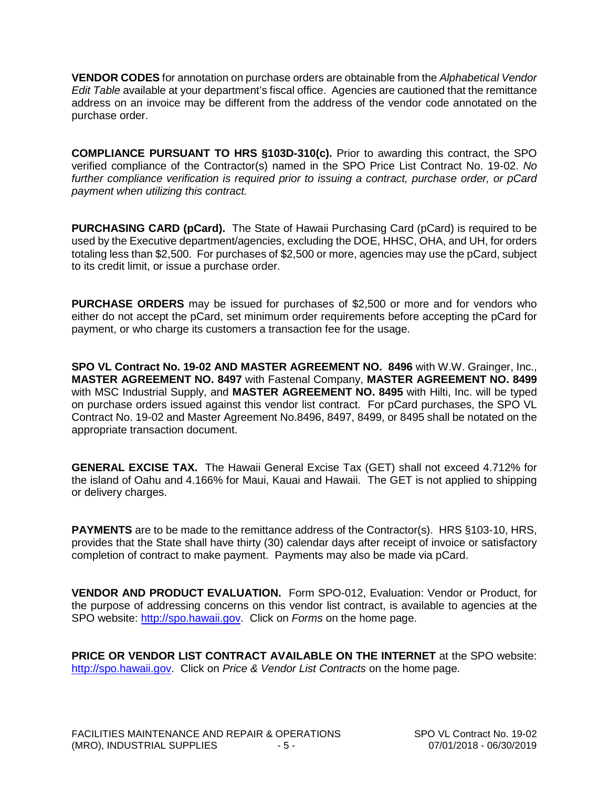**VENDOR CODES** for annotation on purchase orders are obtainable from the *Alphabetical Vendor Edit Table* available at your department's fiscal office. Agencies are cautioned that the remittance address on an invoice may be different from the address of the vendor code annotated on the purchase order.

**COMPLIANCE PURSUANT TO HRS §103D-310(c).** Prior to awarding this contract, the SPO verified compliance of the Contractor(s) named in the SPO Price List Contract No. 19-02. *No further compliance verification is required prior to issuing a contract, purchase order, or pCard payment when utilizing this contract.*

**PURCHASING CARD (pCard).** The State of Hawaii Purchasing Card (pCard) is required to be used by the Executive department/agencies, excluding the DOE, HHSC, OHA, and UH, for orders totaling less than \$2,500. For purchases of \$2,500 or more, agencies may use the pCard, subject to its credit limit, or issue a purchase order.

**PURCHASE ORDERS** may be issued for purchases of \$2,500 or more and for vendors who either do not accept the pCard, set minimum order requirements before accepting the pCard for payment, or who charge its customers a transaction fee for the usage.

**SPO VL Contract No. 19-02 AND MASTER AGREEMENT NO. 8496** with W.W. Grainger, Inc., **MASTER AGREEMENT NO. 8497** with Fastenal Company, **MASTER AGREEMENT NO. 8499** with MSC Industrial Supply, and **MASTER AGREEMENT NO. 8495** with Hilti, Inc. will be typed on purchase orders issued against this vendor list contract. For pCard purchases, the SPO VL Contract No. 19-02 and Master Agreement No.8496, 8497, 8499, or 8495 shall be notated on the appropriate transaction document.

**GENERAL EXCISE TAX.** The Hawaii General Excise Tax (GET) shall not exceed 4.712% for the island of Oahu and 4.166% for Maui, Kauai and Hawaii. The GET is not applied to shipping or delivery charges.

**PAYMENTS** are to be made to the remittance address of the Contractor(s). HRS §103-10, HRS, provides that the State shall have thirty (30) calendar days after receipt of invoice or satisfactory completion of contract to make payment. Payments may also be made via pCard.

**VENDOR AND PRODUCT EVALUATION.** Form SPO-012, Evaluation: Vendor or Product, for the purpose of addressing concerns on this vendor list contract, is available to agencies at the SPO website: [http://spo.hawaii.gov.](http://spo.hawaii.gov/) Click on *Forms* on the home page.

**PRICE OR VENDOR LIST CONTRACT AVAILABLE ON THE INTERNET** at the SPO website: [http://spo.hawaii.gov.](http://spo.hawaii.gov/) Click on *Price & Vendor List Contracts* on the home page.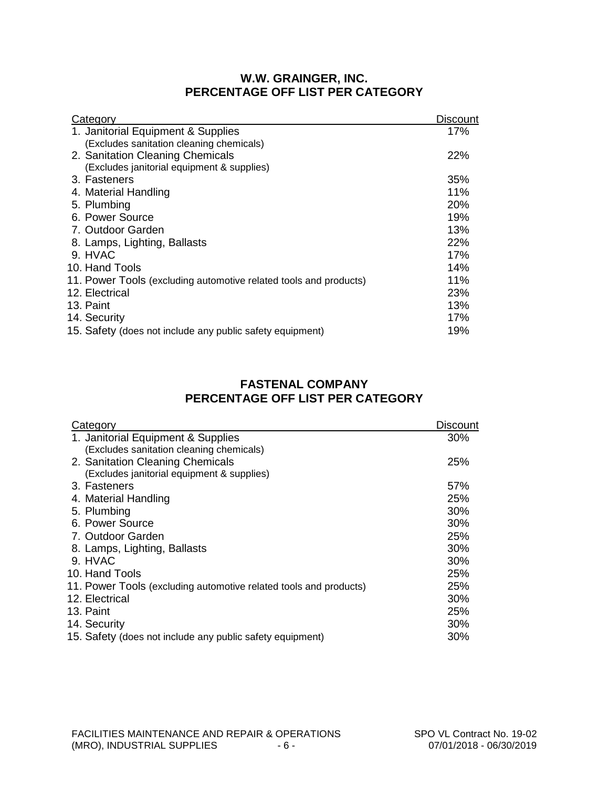#### **W.W. GRAINGER, INC. PERCENTAGE OFF LIST PER CATEGORY**

| Category                                                          | <b>Discount</b> |
|-------------------------------------------------------------------|-----------------|
| 1. Janitorial Equipment & Supplies                                | 17%             |
| (Excludes sanitation cleaning chemicals)                          |                 |
| 2. Sanitation Cleaning Chemicals                                  | 22%             |
| (Excludes janitorial equipment & supplies)                        |                 |
| 3. Fasteners                                                      | 35%             |
| 4. Material Handling                                              | 11%             |
| 5. Plumbing                                                       | 20%             |
| 6. Power Source                                                   | 19%             |
| 7. Outdoor Garden                                                 | 13%             |
| 8. Lamps, Lighting, Ballasts                                      | 22%             |
| 9. HVAC                                                           | 17%             |
| 10. Hand Tools                                                    | 14%             |
| 11. Power Tools (excluding automotive related tools and products) | 11%             |
| 12. Electrical                                                    | 23%             |
| 13. Paint                                                         | 13%             |
| 14. Security                                                      | 17%             |
| 15. Safety (does not include any public safety equipment)         | 19%             |
|                                                                   |                 |

#### **FASTENAL COMPANY PERCENTAGE OFF LIST PER CATEGORY**

| Category                                                          | <b>Discount</b> |
|-------------------------------------------------------------------|-----------------|
| 1. Janitorial Equipment & Supplies                                | 30%             |
| (Excludes sanitation cleaning chemicals)                          |                 |
| 2. Sanitation Cleaning Chemicals                                  | 25%             |
| (Excludes janitorial equipment & supplies)                        |                 |
| 3. Fasteners                                                      | 57%             |
| 4. Material Handling                                              | 25%             |
| 5. Plumbing                                                       | 30%             |
| 6. Power Source                                                   | 30%             |
| 7. Outdoor Garden                                                 | 25%             |
| 8. Lamps, Lighting, Ballasts                                      | 30%             |
| 9. HVAC                                                           | 30%             |
| 10. Hand Tools                                                    | 25%             |
| 11. Power Tools (excluding automotive related tools and products) | 25%             |
| 12. Electrical                                                    | 30%             |
| 13. Paint                                                         | 25%             |
| 14. Security                                                      | 30%             |
| 15. Safety (does not include any public safety equipment)         | 30%             |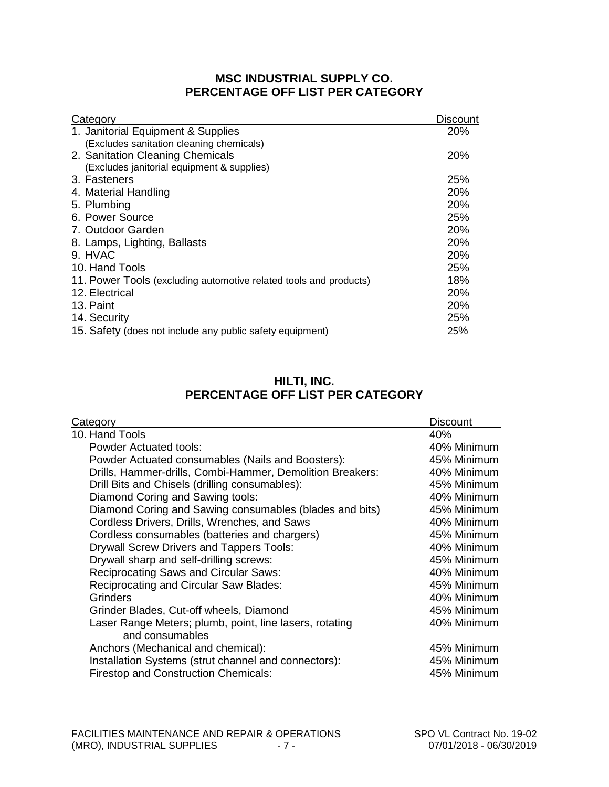#### **MSC INDUSTRIAL SUPPLY CO. PERCENTAGE OFF LIST PER CATEGORY**

| Category                                                          | Disc <u>ount</u> |
|-------------------------------------------------------------------|------------------|
| 1. Janitorial Equipment & Supplies                                | 20%              |
| (Excludes sanitation cleaning chemicals)                          |                  |
| 2. Sanitation Cleaning Chemicals                                  | <b>20%</b>       |
| (Excludes janitorial equipment & supplies)                        |                  |
| 3. Fasteners                                                      | 25%              |
| 4. Material Handling                                              | 20%              |
| 5. Plumbing                                                       | 20%              |
| 6. Power Source                                                   | 25%              |
| 7. Outdoor Garden                                                 | <b>20%</b>       |
| 8. Lamps, Lighting, Ballasts                                      | <b>20%</b>       |
| 9. HVAC                                                           | 20%              |
| 10. Hand Tools                                                    | 25%              |
| 11. Power Tools (excluding automotive related tools and products) | 18%              |
| 12. Electrical                                                    | 20%              |
| 13. Paint                                                         | 20%              |
| 14. Security                                                      | 25%              |
| 15. Safety (does not include any public safety equipment)         | 25%              |

#### **HILTI, INC. PERCENTAGE OFF LIST PER CATEGORY**

| Category                                                  | <b>Discount</b> |
|-----------------------------------------------------------|-----------------|
| 10. Hand Tools                                            | 40%             |
| <b>Powder Actuated tools:</b>                             | 40% Minimum     |
| Powder Actuated consumables (Nails and Boosters):         | 45% Minimum     |
| Drills, Hammer-drills, Combi-Hammer, Demolition Breakers: | 40% Minimum     |
| Drill Bits and Chisels (drilling consumables):            | 45% Minimum     |
| Diamond Coring and Sawing tools:                          | 40% Minimum     |
| Diamond Coring and Sawing consumables (blades and bits)   | 45% Minimum     |
| Cordless Drivers, Drills, Wrenches, and Saws              | 40% Minimum     |
| Cordless consumables (batteries and chargers)             | 45% Minimum     |
| <b>Drywall Screw Drivers and Tappers Tools:</b>           | 40% Minimum     |
| Drywall sharp and self-drilling screws:                   | 45% Minimum     |
| <b>Reciprocating Saws and Circular Saws:</b>              | 40% Minimum     |
| Reciprocating and Circular Saw Blades:                    | 45% Minimum     |
| <b>Grinders</b>                                           | 40% Minimum     |
| Grinder Blades, Cut-off wheels, Diamond                   | 45% Minimum     |
| Laser Range Meters; plumb, point, line lasers, rotating   | 40% Minimum     |
| and consumables                                           |                 |
| Anchors (Mechanical and chemical):                        | 45% Minimum     |
| Installation Systems (strut channel and connectors):      | 45% Minimum     |
| <b>Firestop and Construction Chemicals:</b>               | 45% Minimum     |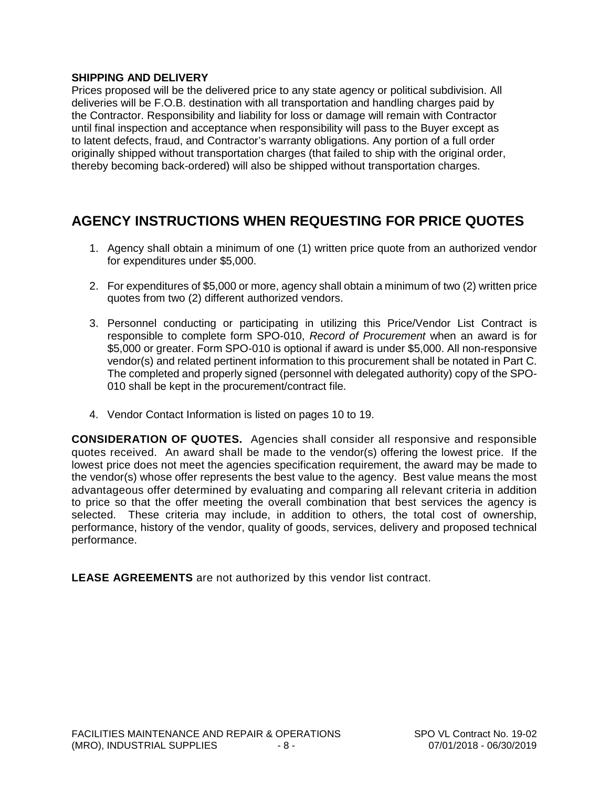#### **SHIPPING AND DELIVERY**

Prices proposed will be the delivered price to any state agency or political subdivision. All deliveries will be F.O.B. destination with all transportation and handling charges paid by the Contractor. Responsibility and liability for loss or damage will remain with Contractor until final inspection and acceptance when responsibility will pass to the Buyer except as to latent defects, fraud, and Contractor's warranty obligations. Any portion of a full order originally shipped without transportation charges (that failed to ship with the original order, thereby becoming back-ordered) will also be shipped without transportation charges.

### **AGENCY INSTRUCTIONS WHEN REQUESTING FOR PRICE QUOTES**

- 1. Agency shall obtain a minimum of one (1) written price quote from an authorized vendor for expenditures under \$5,000.
- 2. For expenditures of \$5,000 or more, agency shall obtain a minimum of two (2) written price quotes from two (2) different authorized vendors.
- 3. Personnel conducting or participating in utilizing this Price/Vendor List Contract is responsible to complete form SPO-010, *Record of Procurement* when an award is for \$5,000 or greater. Form SPO-010 is optional if award is under \$5,000. All non-responsive vendor(s) and related pertinent information to this procurement shall be notated in Part C. The completed and properly signed (personnel with delegated authority) copy of the SPO-010 shall be kept in the procurement/contract file.
- 4. Vendor Contact Information is listed on pages 10 to 19.

**CONSIDERATION OF QUOTES.** Agencies shall consider all responsive and responsible quotes received. An award shall be made to the vendor(s) offering the lowest price. If the lowest price does not meet the agencies specification requirement, the award may be made to the vendor(s) whose offer represents the best value to the agency. Best value means the most advantageous offer determined by evaluating and comparing all relevant criteria in addition to price so that the offer meeting the overall combination that best services the agency is selected. These criteria may include, in addition to others, the total cost of ownership, performance, history of the vendor, quality of goods, services, delivery and proposed technical performance.

**LEASE AGREEMENTS** are not authorized by this vendor list contract.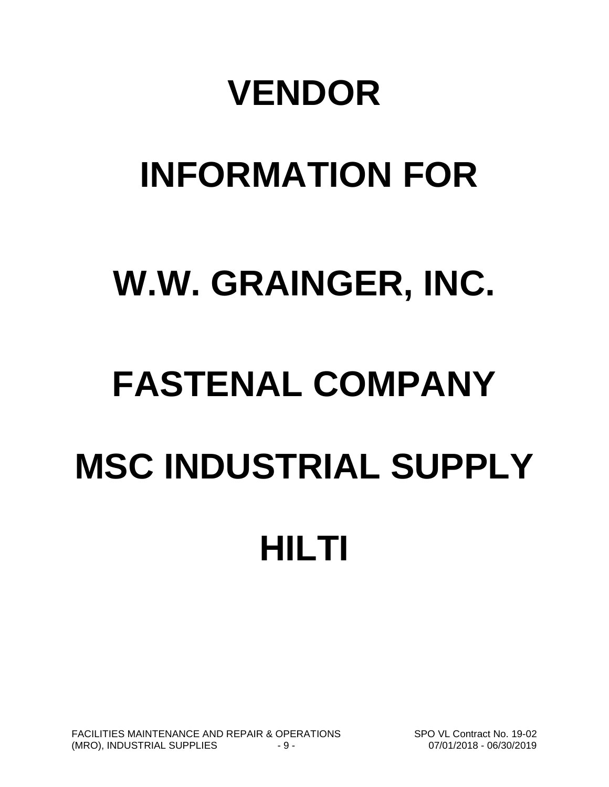# **VENDOR**

# **INFORMATION FOR**

# **W.W. GRAINGER, INC.**

# **FASTENAL COMPANY MSC INDUSTRIAL SUPPLY HILTI**

FACILITIES MAINTENANCE AND REPAIR & OPERATIONS SPO VL Contract No. 19-02 (MRO), INDUSTRIAL SUPPLIES  $-9 -$  9  $-$  07/01/2018 - 06/30/2019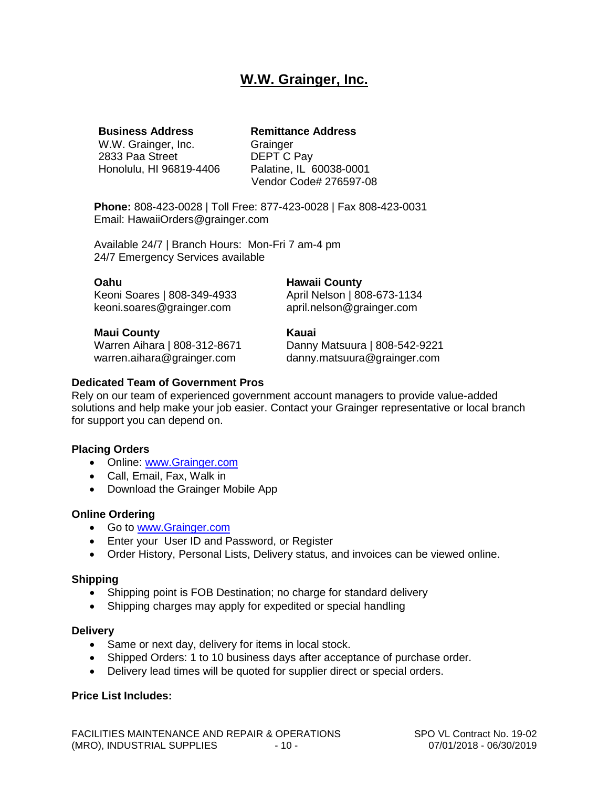#### **W.W. Grainger, Inc.**

W.W. Grainger, Inc. Grainger<br>2833 Paa Street DEPT C Pay 2833 Paa Street

#### **Business Address Remittance Address**

Honolulu, HI 96819-4406 Palatine, IL 60038-0001 Vendor Code# 276597-08

**Phone:** 808-423-0028 | Toll Free: 877-423-0028 | Fax 808-423-0031 Email: HawaiiOrders@grainger.com

Available 24/7 | Branch Hours: Mon-Fri 7 am-4 pm 24/7 Emergency Services available

#### **Oahu Hawaii County**<br> **Keoni Soares** | 808-349-4933 **April Nelson** | 808-673-1134 Keoni Soares | 808-349-4933 keoni.soares@grainger.com april.nelson@grainger.com

**Maui County Kauai**

Danny Matsuura | 808-542-9221 warren.aihara@grainger.com danny.matsuura@grainger.com

#### **Dedicated Team of Government Pros**

Rely on our team of experienced government account managers to provide value-added solutions and help make your job easier. Contact your Grainger representative or local branch for support you can depend on.

#### **Placing Orders**

- Online: www.Grainger.com
- Call, Email, Fax, Walk in
- Download the Grainger Mobile App

#### **Online Ordering**

- Go to [www.Grainger.com](http://www.grainger.com/)
- Enter your User ID and Password, or Register
- Order History, Personal Lists, Delivery status, and invoices can be viewed online.

#### **Shipping**

- Shipping point is FOB Destination; no charge for standard delivery
- Shipping charges may apply for expedited or special handling

#### **Delivery**

- Same or next day, delivery for items in local stock.
- Shipped Orders: 1 to 10 business days after acceptance of purchase order.
- Delivery lead times will be quoted for supplier direct or special orders.

#### **Price List Includes:**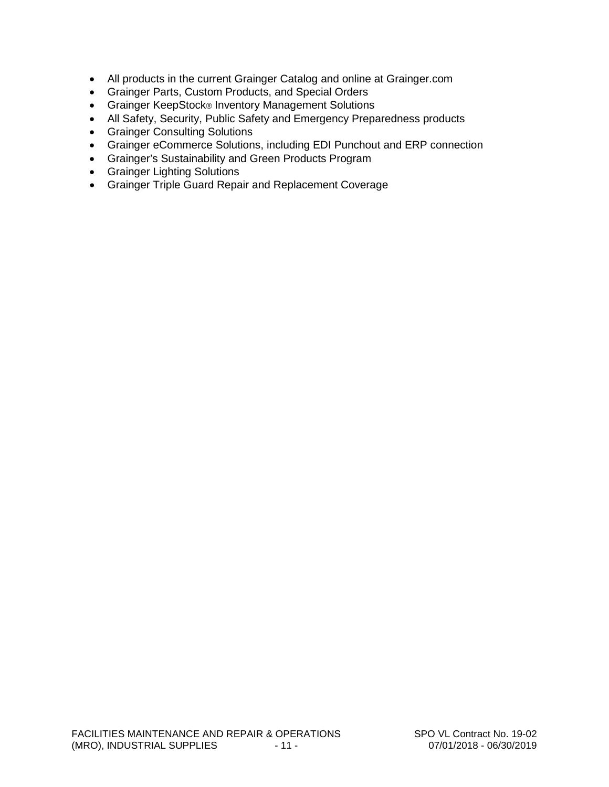- All products in the current Grainger Catalog and online at Grainger.com
- Grainger Parts, Custom Products, and Special Orders
- Grainger KeepStock® Inventory Management Solutions
- All Safety, Security, Public Safety and Emergency Preparedness products
- Grainger Consulting Solutions
- Grainger eCommerce Solutions, including EDI Punchout and ERP connection
- Grainger's Sustainability and Green Products Program
- Grainger Lighting Solutions
- Grainger Triple Guard Repair and Replacement Coverage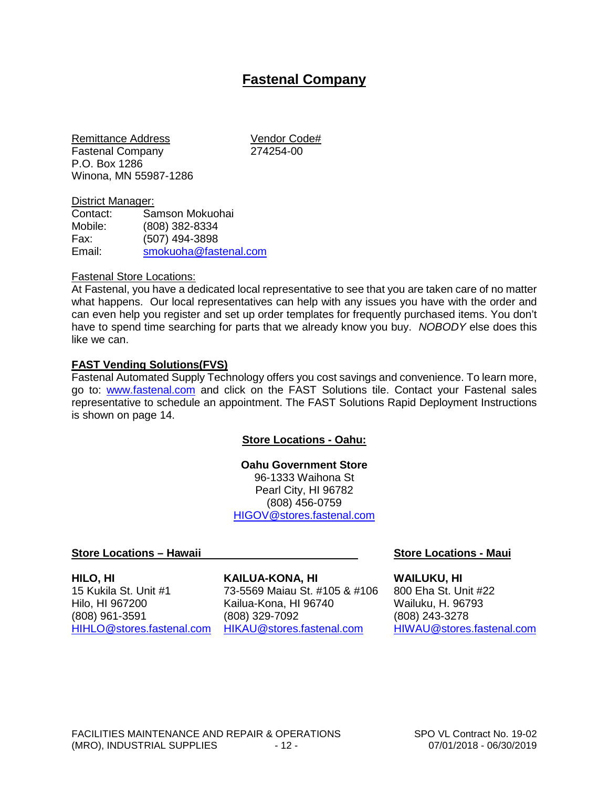#### **Fastenal Company**

Remittance Address Vendor Code# Fastenal Company P.O. Box 1286 Winona, MN 55987-1286

# District Manager:<br>Contact: Sa

Samson Mokuohai Mobile: (808) 382-8334 Fax: (507) 494-3898 Email: [smokuoha@fastenal.com](mailto:smokuoha@fastenal.com)

#### Fastenal Store Locations:

At Fastenal, you have a dedicated local representative to see that you are taken care of no matter what happens. Our local representatives can help with any issues you have with the order and can even help you register and set up order templates for frequently purchased items. You don't have to spend time searching for parts that we already know you buy. *NOBODY* else does this like we can.

#### **FAST Vending Solutions(FVS)**

Fastenal Automated Supply Technology offers you cost savings and convenience. To learn more, go to: [www.fastenal.com](http://www.fastenal.com/) and click on the FAST Solutions tile. Contact your Fastenal sales representative to schedule an appointment. The FAST Solutions Rapid Deployment Instructions is shown on page 14.

#### **Store Locations - Oahu:**

**Oahu Government Store** 96-1333 Waihona St Pearl City, HI 96782 (808) 456-0759 [HIGOV@stores.fastenal.com](mailto:HIGOV@stores.fastenal.com)

#### **Store Locations – Hawaii Store Locations - Maui**

**HILO, HI KAILUA-KONA, HI WAILUKU, HI** 15 Kukila St. Unit #1 73-5569 Maiau St. #105 & #106 800 Eha St. Unit #22

Hilo, HI 967200 Kailua-Kona, HI 96740 Wailuku, H. 96793 (808) 961-3591 (808) 329-7092 (808) 243-3278 [HIHLO@stores.fastenal.com](mailto:HIHLO@stores.fastenal.com) [HIKAU@stores.fastenal.com](mailto:HIKAU@stores.fastenal.com) [HIWAU@stores.fastenal.com](mailto:HIWAU@stores.fastenal.com)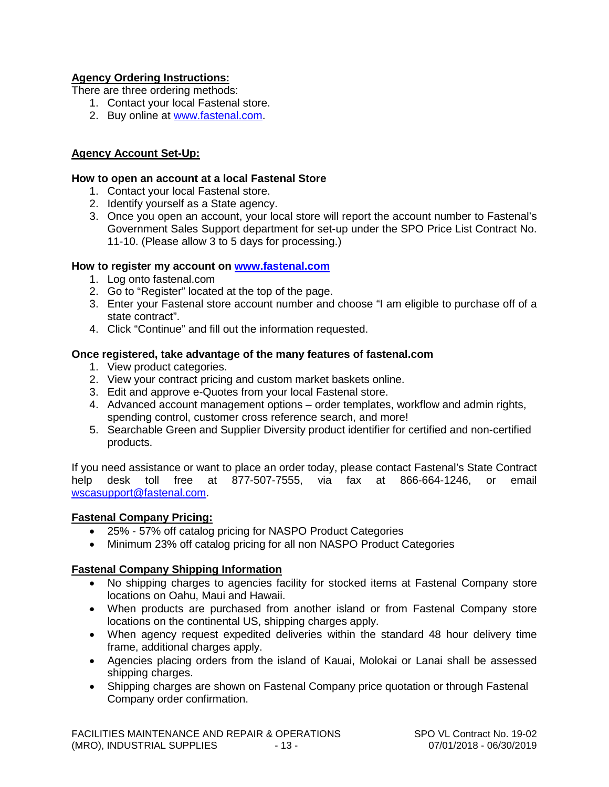#### **Agency Ordering Instructions:**

There are three ordering methods:

- 1. Contact your local Fastenal store.
- 2. Buy online at [www.fastenal.com.](http://www.fastenal.com/)

#### **Agency Account Set-Up:**

#### **How to open an account at a local Fastenal Store**

- 1. Contact your local Fastenal store.
- 2. Identify yourself as a State agency.
- 3. Once you open an account, your local store will report the account number to Fastenal's Government Sales Support department for set-up under the SPO Price List Contract No. 11-10. (Please allow 3 to 5 days for processing.)

#### **How to register my account on [www.fastenal.com](http://www.fastenal.com/)**

- 1. Log onto fastenal.com
- 2. Go to "Register" located at the top of the page.
- 3. Enter your Fastenal store account number and choose "I am eligible to purchase off of a state contract".
- 4. Click "Continue" and fill out the information requested.

#### **Once registered, take advantage of the many features of fastenal.com**

- 1. View product categories.
- 2. View your contract pricing and custom market baskets online.
- 3. Edit and approve e-Quotes from your local Fastenal store.
- 4. Advanced account management options order templates, workflow and admin rights, spending control, customer cross reference search, and more!
- 5. Searchable Green and Supplier Diversity product identifier for certified and non-certified products.

If you need assistance or want to place an order today, please contact Fastenal's State Contract help desk toll free at 877-507-7555, via fax at 866-664-1246, or email [wscasupport@fastenal.com.](mailto:wscasupport@fastenal.com)

#### **Fastenal Company Pricing:**

- 25% 57% off catalog pricing for NASPO Product Categories
- Minimum 23% off catalog pricing for all non NASPO Product Categories

#### **Fastenal Company Shipping Information**

- No shipping charges to agencies facility for stocked items at Fastenal Company store locations on Oahu, Maui and Hawaii.
- When products are purchased from another island or from Fastenal Company store locations on the continental US, shipping charges apply.
- When agency request expedited deliveries within the standard 48 hour delivery time frame, additional charges apply.
- Agencies placing orders from the island of Kauai, Molokai or Lanai shall be assessed shipping charges.
- Shipping charges are shown on Fastenal Company price quotation or through Fastenal Company order confirmation.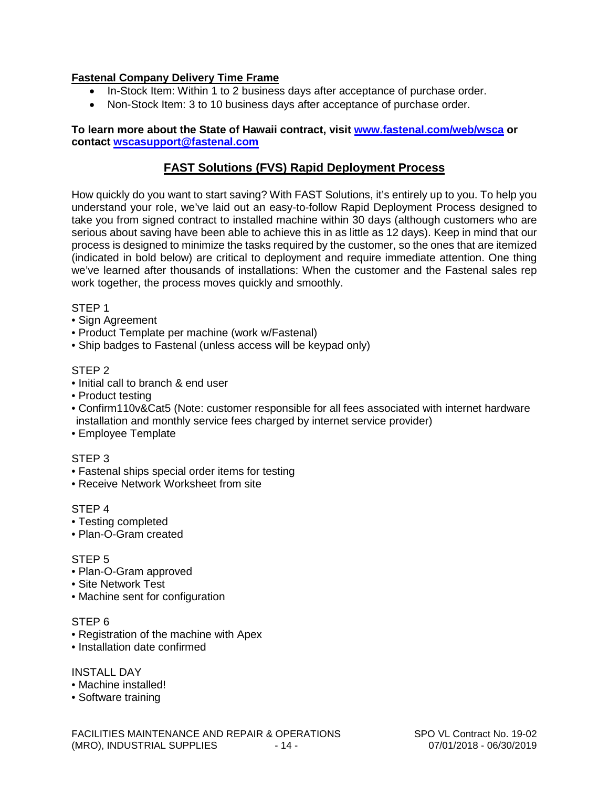#### **Fastenal Company Delivery Time Frame**

- In-Stock Item: Within 1 to 2 business days after acceptance of purchase order.
- Non-Stock Item: 3 to 10 business days after acceptance of purchase order.

#### **To learn more about the State of Hawaii contract, visit [www.fastenal.com/web/wsca](http://www.fastenal.com/web/wsca) or contact [wscasupport@fastenal.com](mailto:wscasupport@fastenal.com)**

#### **FAST Solutions (FVS) Rapid Deployment Process**

How quickly do you want to start saving? With FAST Solutions, it's entirely up to you. To help you understand your role, we've laid out an easy-to-follow Rapid Deployment Process designed to take you from signed contract to installed machine within 30 days (although customers who are serious about saving have been able to achieve this in as little as 12 days). Keep in mind that our process is designed to minimize the tasks required by the customer, so the ones that are itemized (indicated in bold below) are critical to deployment and require immediate attention. One thing we've learned after thousands of installations: When the customer and the Fastenal sales rep work together, the process moves quickly and smoothly.

#### STEP 1

- Sign Agreement
- Product Template per machine (work w/Fastenal)
- Ship badges to Fastenal (unless access will be keypad only)

#### STEP 2

- Initial call to branch & end user
- Product testing
- Confirm110v&Cat5 (Note: customer responsible for all fees associated with internet hardware installation and monthly service fees charged by internet service provider)
- Employee Template

#### STEP 3

- Fastenal ships special order items for testing
- Receive Network Worksheet from site

#### STEP 4

- Testing completed
- Plan-O-Gram created

#### STEP 5

- Plan-O-Gram approved
- Site Network Test
- Machine sent for configuration

#### STEP 6

- Registration of the machine with Apex
- Installation date confirmed

#### INSTALL DAY

- Machine installed!
- Software training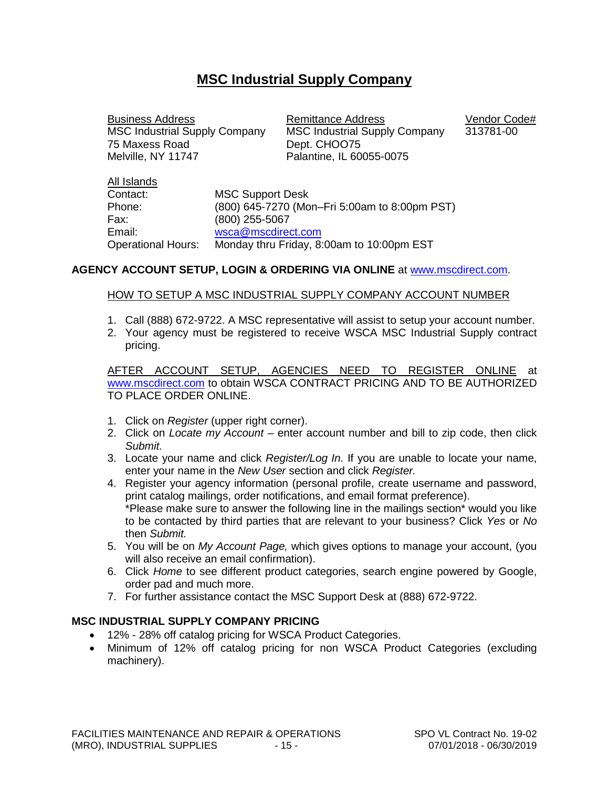#### **MSC Industrial Supply Company**

75 Maxess Road Dept. CHOO75<br>
Melville. NY 11747 Palantine. IL 60

All Islands

Business Address<br>MSC Industrial Supply Company MSC Industrial Supply Company 313781-00 MSC Industrial Supply Company 313781-00 Palantine, IL 60055-0075

| All Islands               |                                               |
|---------------------------|-----------------------------------------------|
| Contact:                  | <b>MSC Support Desk</b>                       |
| Phone:                    | (800) 645-7270 (Mon-Fri 5:00am to 8:00pm PST) |
| Fax:                      | (800) 255-5067                                |
| Email:                    | wsca@mscdirect.com                            |
| <b>Operational Hours:</b> | Monday thru Friday, 8:00am to 10:00pm EST     |

#### **AGENCY ACCOUNT SETUP, LOGIN & ORDERING VIA ONLINE** at [www.mscdirect.com.](http://www.mscdirect.com/)

#### HOW TO SETUP A MSC INDUSTRIAL SUPPLY COMPANY ACCOUNT NUMBER

- 1. Call (888) 672-9722. A MSC representative will assist to setup your account number.
- 2. Your agency must be registered to receive WSCA MSC Industrial Supply contract pricing.

AFTER ACCOUNT SETUP, AGENCIES NEED TO REGISTER ONLINE at [www.mscdirect.com](http://www.mscdirect.com/) to obtain WSCA CONTRACT PRICING AND TO BE AUTHORIZED TO PLACE ORDER ONLINE.

- 1. Click on *Register* (upper right corner).
- 2. Click on *Locate my Account* enter account number and bill to zip code, then click *Submit.*
- 3. Locate your name and click *Register/Log In.* If you are unable to locate your name, enter your name in the *New User* section and click *Register.*
- 4. Register your agency information (personal profile, create username and password, print catalog mailings, order notifications, and email format preference). \*Please make sure to answer the following line in the mailings section\* would you like to be contacted by third parties that are relevant to your business? Click *Yes* or *No*  then *Submit.*
- 5. You will be on *My Account Page,* which gives options to manage your account, (you will also receive an email confirmation).
- 6. Click *Home* to see different product categories, search engine powered by Google, order pad and much more.
- 7. For further assistance contact the MSC Support Desk at (888) 672-9722.

#### **MSC INDUSTRIAL SUPPLY COMPANY PRICING**

- 12% 28% off catalog pricing for WSCA Product Categories.
- Minimum of 12% off catalog pricing for non WSCA Product Categories (excluding machinery).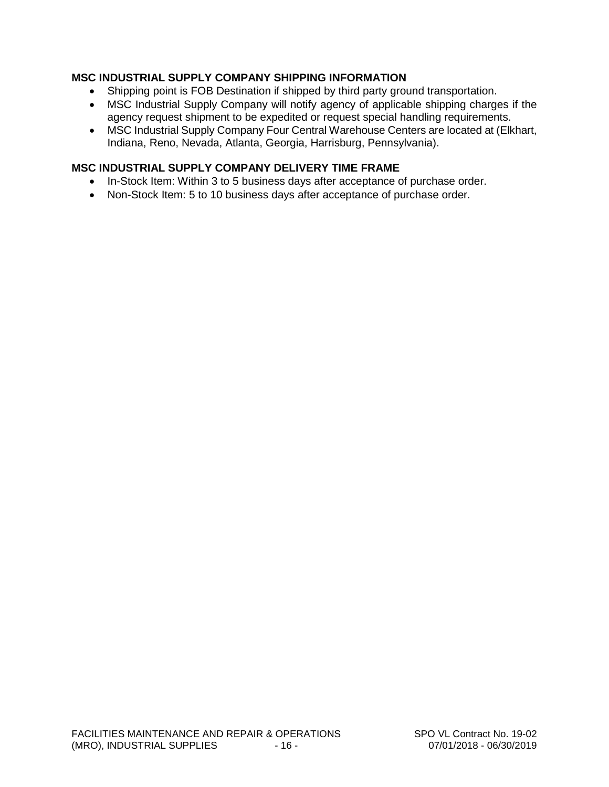#### **MSC INDUSTRIAL SUPPLY COMPANY SHIPPING INFORMATION**

- Shipping point is FOB Destination if shipped by third party ground transportation.
- MSC Industrial Supply Company will notify agency of applicable shipping charges if the agency request shipment to be expedited or request special handling requirements.
- MSC Industrial Supply Company Four Central Warehouse Centers are located at (Elkhart, Indiana, Reno, Nevada, Atlanta, Georgia, Harrisburg, Pennsylvania).

#### **MSC INDUSTRIAL SUPPLY COMPANY DELIVERY TIME FRAME**

- In-Stock Item: Within 3 to 5 business days after acceptance of purchase order.
- Non-Stock Item: 5 to 10 business days after acceptance of purchase order.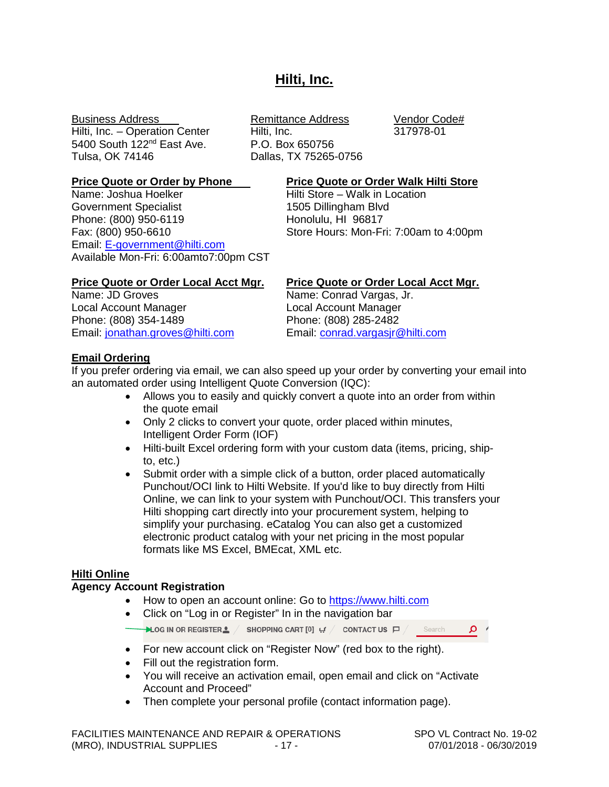#### **Hilti, Inc.**

Hilti, Inc. – Operation Center Hilti, Inc. 317978-01 5400 South 122<sup>nd</sup> East Ave. <br>
Tulsa. OK 74146 **Dallas. TX 75265-**

Name: Joshua Hoelker **Hilti Store – Walk in Location** Government Specialist 1505 Dillingham Blvd<br>
Phone: (800) 950-6119<br>
Honolulu, HI 96817 Phone: (800) 950-6119<br>Fax: (800) 950-6610 Email: [E-government@hilti.com](mailto:E-government@hilti.com) Available Mon-Fri: 6:00amto7:00pm CST

# Business Address **Remittance Address** Vendor Code# Dallas, TX 75265-0756

#### **Price Quote or Order by Phone Price Quote or Order Walk Hilti Store**

Store Hours: Mon-Fri: 7:00am to 4:00pm

Local Account Manager Local Account Manager Phone: (808) 354-1489 Phone: (808) 285-2482 Email: [jonathan.groves@hilti.com](mailto:jonathan.groves@hilti.com) Email: [conrad.vargasjr@hilti.com](mailto:conrad.vargasjr@hilti.com)

# **Price Quote or Order Local Acct Mgr. Price Quote or Order Local Acct Mgr.**

Name: Conrad Vargas, Jr.

#### **Email Ordering**

If you prefer ordering via email, we can also speed up your order by converting your email into an automated order using Intelligent Quote Conversion (IQC):

- Allows you to easily and quickly convert a quote into an order from within the quote email
- Only 2 clicks to convert your quote, order placed within minutes, Intelligent Order Form (IOF)
- Hilti-built Excel ordering form with your custom data (items, pricing, shipto, etc.)
- Submit order with a simple click of a button, order placed automatically Punchout/OCI link to Hilti Website. If you'd like to buy directly from Hilti Online, we can link to your system with Punchout/OCI. This transfers your Hilti shopping cart directly into your procurement system, helping to simplify your purchasing. eCatalog You can also get a customized electronic product catalog with your net pricing in the most popular formats like MS Excel, BMEcat, XML etc.

#### **Hilti Online**

#### **Agency Account Registration**

- How to open an account online: Go to [https://www.hilti.com](https://www.hilti.com/)
- Click on "Log in or Register" In in the navigation bar

 $\rightarrow$  LOG IN OR REGISTER  $\triangle$  / SHOPPING CART [0]  $\#$  / CONTACT US  $\Box$  / Search  $\alpha$ 

- For new account click on "Register Now" (red box to the right).
- Fill out the registration form.
- You will receive an activation email, open email and click on "Activate Account and Proceed"
- Then complete your personal profile (contact information page).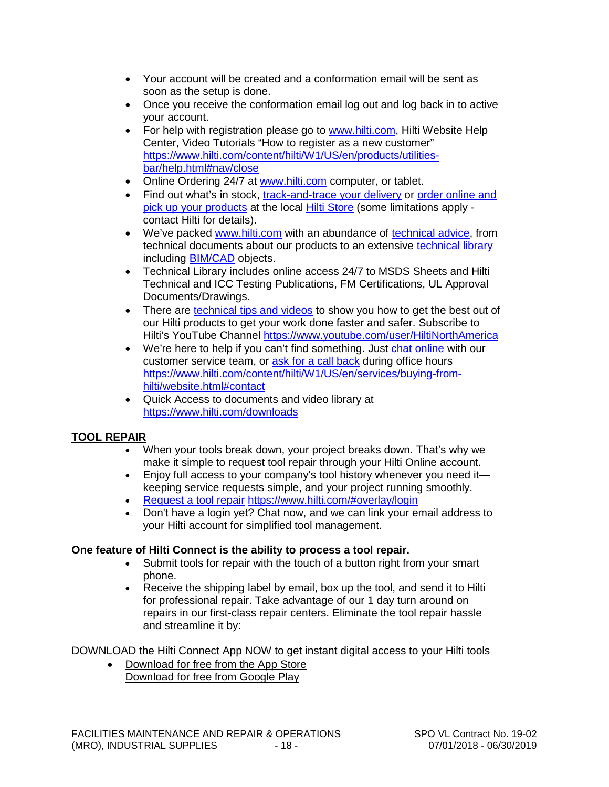- Your account will be created and a conformation email will be sent as soon as the setup is done.
- Once you receive the conformation email log out and log back in to active your account.
- For help with registration please go to [www.hilti.com,](http://www.hilti.com/) Hilti Website Help Center, Video Tutorials "How to register as a new customer" [https://www.hilti.com/content/hilti/W1/US/en/products/utilities](https://www.hilti.com/content/hilti/W1/US/en/products/utilities-bar/help.html#nav/close)[bar/help.html#nav/close](https://www.hilti.com/content/hilti/W1/US/en/products/utilities-bar/help.html#nav/close)
- Online Ordering 24/7 at [www.hilti.com](http://www.hilti.com/) computer, or tablet.
- Find out what's in stock,  $\frac{1}{x}$  [track-and-trace your delivery](https://www.hilti.com/myaccount-history/orders.html#account-navigation) or order online and [pick up your products](https://www.hilti.com/content/hilti/W1/US/en/services/buying-from-hilti/click-and-collect.html) at the local [Hilti Store](https://www.hilti.com/stores) (some limitations apply contact Hilti for details).
- We've packed [www.hilti.com](http://www.hilti.com/) with an abundance of [technical advice,](https://www.hilti.com/content/hilti/W1/US/en/engineering/training/engineering---engineering-services.html) from technical documents about our products to an extensive [technical library](https://www.hilti.com/downloads) including [BIM/CAD](https://www.hilti.com/content/hilti/W1/US/en/engineering/software/bim.html) objects.
- Technical Library includes online access 24/7 to MSDS Sheets and Hilti Technical and ICC Testing Publications, FM Certifications, UL Approval Documents/Drawings.
- There are [technical tips and videos](https://www.hilti.com/content/hilti/W1/US/en/products/utilities-bar/help.html) to show you how to get the best out of our Hilti products to get your work done faster and safer. Subscribe to Hilti's YouTube Channel<https://www.youtube.com/user/HiltiNorthAmerica>
- We're here to help if you can't find something. Just [chat online](https://www.hilti.com/content/hilti/W1/US/en/services/buying-from-hilti/website.html#contact) with our customer service team, or [ask for a call back](https://www.hilti.com/content/hilti/W1/US/en/services/buying-from-hilti/website.html#contact) during office hours [https://www.hilti.com/content/hilti/W1/US/en/services/buying-from](https://www.hilti.com/content/hilti/W1/US/en/services/buying-from-hilti/website.html#contact)[hilti/website.html#contact](https://www.hilti.com/content/hilti/W1/US/en/services/buying-from-hilti/website.html#contact)
- Quick Access to documents and video library at <https://www.hilti.com/downloads>

#### **TOOL REPAIR**

- When your tools break down, your project breaks down. That's why we make it simple to request tool repair through your Hilti Online account.
- Enjoy full access to your company's tool history whenever you need it keeping service requests simple, and your project running smoothly.
- [Request a tool repair](https://www.hilti.com/myaccount-tools/repair) <https://www.hilti.com/#overlay/login>
- Don't have a login yet? Chat now, and we can link your email address to your Hilti account for simplified tool management.

#### **One feature of Hilti Connect is the ability to process a tool repair.**

- Submit tools for repair with the touch of a button right from your smart phone.
- Receive the shipping label by email, box up the tool, and send it to Hilti for professional repair. Take advantage of our 1 day turn around on repairs in our first-class repair centers. Eliminate the tool repair hassle and streamline it by:

DOWNLOAD the Hilti Connect App NOW to get instant digital access to your Hilti tools

• Download for free from the App Store Download for free from Google Play